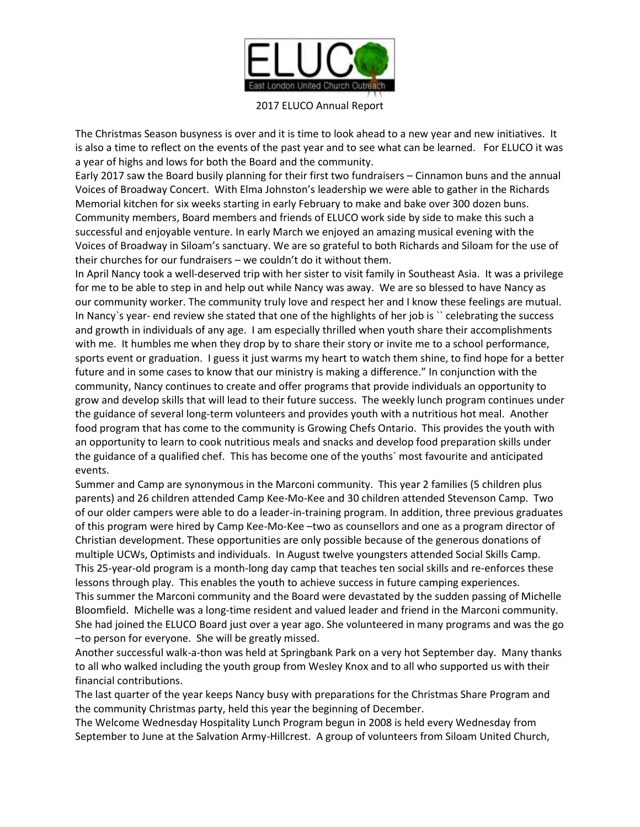

## 2017 ELUCO Annual Report

The Christmas Season busyness is over and it is time to look ahead to a new year and new initiatives. It is also a time to reflect on the events of the past year and to see what can be learned. For ELUCO it was a year of highs and lows for both the Board and the community.

Early 2017 saw the Board busily planning for their first two fundraisers – Cinnamon buns and the annual Voices of Broadway Concert. With Elma Johnston's leadership we were able to gather in the Richards Memorial kitchen for six weeks starting in early February to make and bake over 300 dozen buns. Community members, Board members and friends of ELUCO work side by side to make this such a successful and enjoyable venture. In early March we enjoyed an amazing musical evening with the Voices of Broadway in Siloam's sanctuary. We are so grateful to both Richards and Siloam for the use of their churches for our fundraisers – we couldn't do it without them.

In April Nancy took a well-deserved trip with her sister to visit family in Southeast Asia. It was a privilege for me to be able to step in and help out while Nancy was away. We are so blessed to have Nancy as our community worker. The community truly love and respect her and I know these feelings are mutual. In Nancy's year- end review she stated that one of the highlights of her job is " celebrating the success and growth in individuals of any age. I am especially thrilled when youth share their accomplishments with me. It humbles me when they drop by to share their story or invite me to a school performance, sports event or graduation. I guess it just warms my heart to watch them shine, to find hope for a better future and in some cases to know that our ministry is making a difference." In conjunction with the community, Nancy continues to create and offer programs that provide individuals an opportunity to grow and develop skills that will lead to their future success. The weekly lunch program continues under the guidance of several long-term volunteers and provides youth with a nutritious hot meal. Another food program that has come to the community is Growing Chefs Ontario. This provides the youth with an opportunity to learn to cook nutritious meals and snacks and develop food preparation skills under the guidance of a qualified chef. This has become one of the youths` most favourite and anticipated events.

Summer and Camp are synonymous in the Marconi community. This year 2 families (5 children plus parents) and 26 children attended Camp Kee-Mo-Kee and 30 children attended Stevenson Camp. Two of our older campers were able to do a leader-in-training program. In addition, three previous graduates of this program were hired by Camp Kee-Mo-Kee –two as counsellors and one as a program director of Christian development. These opportunities are only possible because of the generous donations of multiple UCWs, Optimists and individuals. In August twelve youngsters attended Social Skills Camp. This 25-year-old program is a month-long day camp that teaches ten social skills and re-enforces these lessons through play. This enables the youth to achieve success in future camping experiences. This summer the Marconi community and the Board were devastated by the sudden passing of Michelle Bloomfield. Michelle was a long-time resident and valued leader and friend in the Marconi community. She had joined the ELUCO Board just over a year ago. She volunteered in many programs and was the go –to person for everyone. She will be greatly missed.

Another successful walk-a-thon was held at Springbank Park on a very hot September day. Many thanks to all who walked including the youth group from Wesley Knox and to all who supported us with their financial contributions.

The last quarter of the year keeps Nancy busy with preparations for the Christmas Share Program and the community Christmas party, held this year the beginning of December.

The Welcome Wednesday Hospitality Lunch Program begun in 2008 is held every Wednesday from September to June at the Salvation Army-Hillcrest. A group of volunteers from Siloam United Church,